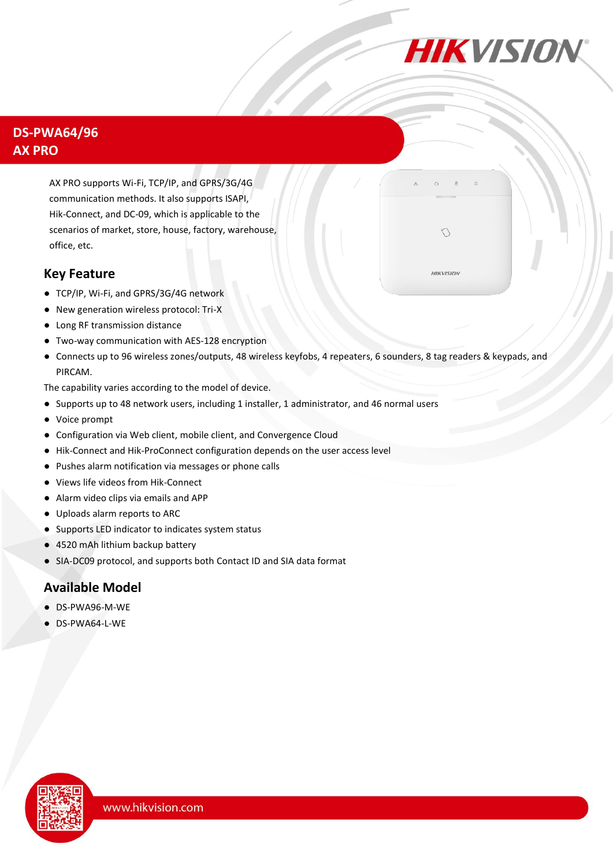

 $\bigcirc$ 

**HIKVISION** 

## **DS-PWA64/96 AX PRO**

AX PRO supports Wi-Fi, TCP/IP, and GPRS/3G/4G communication methods. It also supports ISAPI, Hik-Connect, and DC-09, which is applicable to the scenarios of market, store, house, factory, warehouse, office, etc.

#### **Key Feature**

- TCP/IP, Wi-Fi, and GPRS/3G/4G network
- New generation wireless protocol: Tri-X
- Long RF transmission distance
- Two-way communication with AES-128 encryption
- Connects up to 96 wireless zones/outputs, 48 wireless keyfobs, 4 repeaters, 6 sounders, 8 tag readers & keypads, and PIRCAM.

The capability varies according to the model of device.

- Supports up to 48 network users, including 1 installer, 1 administrator, and 46 normal users
- Voice prompt
- Configuration via Web client, mobile client, and Convergence Cloud
- Hik-Connect and Hik-ProConnect configuration depends on the user access level
- Pushes alarm notification via messages or phone calls
- Views life videos from Hik-Connect
- Alarm video clips via emails and APP
- Uploads alarm reports to ARC
- Supports LED indicator to indicates system status
- 4520 mAh lithium backup battery
- SIA-DC09 protocol, and supports both Contact ID and SIA data format

## **Available Model**

- DS-PWA96-M-WE
- DS-PWA64-L-WE

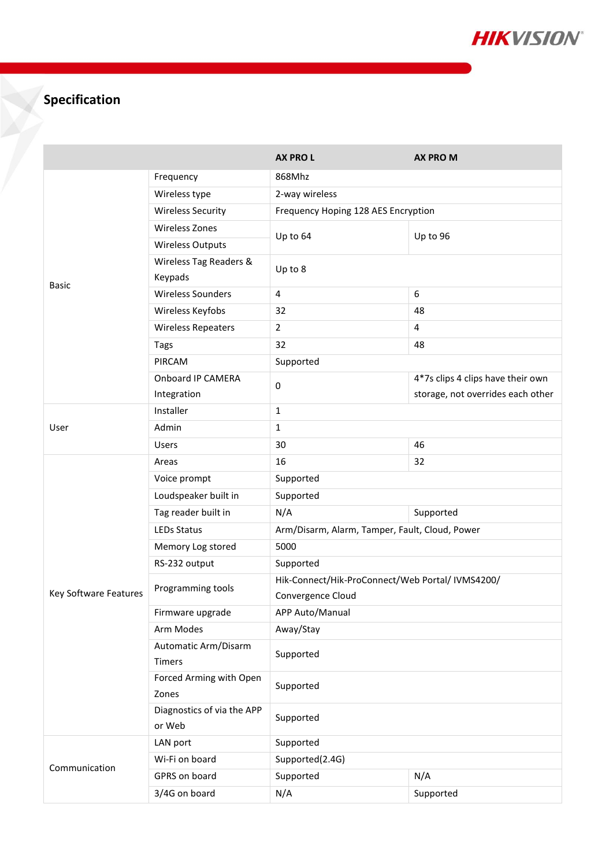

# **Specification**

|                       |                                      | <b>AX PROL</b>                                                        | <b>AX PRO M</b>                   |  |
|-----------------------|--------------------------------------|-----------------------------------------------------------------------|-----------------------------------|--|
| <b>Basic</b>          | Frequency                            | 868Mhz                                                                |                                   |  |
|                       | Wireless type                        | 2-way wireless                                                        |                                   |  |
|                       | <b>Wireless Security</b>             | Frequency Hoping 128 AES Encryption                                   |                                   |  |
|                       | <b>Wireless Zones</b>                | Up to 64                                                              | Up to 96                          |  |
|                       | <b>Wireless Outputs</b>              |                                                                       |                                   |  |
|                       | Wireless Tag Readers &<br>Keypads    | Up to 8                                                               |                                   |  |
|                       | <b>Wireless Sounders</b>             | 4                                                                     | 6                                 |  |
|                       | Wireless Keyfobs                     | 32                                                                    | 48                                |  |
|                       | <b>Wireless Repeaters</b>            | $\overline{2}$                                                        | 4                                 |  |
|                       | Tags                                 | 32                                                                    | 48                                |  |
|                       | PIRCAM                               | Supported                                                             |                                   |  |
|                       | Onboard IP CAMERA                    | 0                                                                     | 4*7s clips 4 clips have their own |  |
|                       | Integration                          |                                                                       | storage, not overrides each other |  |
| User                  | Installer                            | $\mathbf{1}$                                                          |                                   |  |
|                       | Admin                                | $\mathbf{1}$                                                          |                                   |  |
|                       | <b>Users</b>                         | 30                                                                    | 46                                |  |
|                       | Areas                                | 16                                                                    | 32                                |  |
|                       | Voice prompt                         | Supported                                                             |                                   |  |
|                       | Loudspeaker built in                 | Supported                                                             |                                   |  |
|                       | Tag reader built in                  | N/A                                                                   | Supported                         |  |
|                       | <b>LEDs Status</b>                   | Arm/Disarm, Alarm, Tamper, Fault, Cloud, Power                        |                                   |  |
|                       | Memory Log stored                    | 5000                                                                  |                                   |  |
|                       | RS-232 output                        | Supported                                                             |                                   |  |
|                       | Programming tools                    | Hik-Connect/Hik-ProConnect/Web Portal/ IVMS4200/<br>Convergence Cloud |                                   |  |
| Key Software Features |                                      |                                                                       |                                   |  |
|                       | Firmware upgrade                     | APP Auto/Manual                                                       |                                   |  |
|                       | Arm Modes                            | Away/Stay                                                             |                                   |  |
|                       | Automatic Arm/Disarm<br>Timers       | Supported                                                             |                                   |  |
|                       | Forced Arming with Open<br>Zones     | Supported                                                             |                                   |  |
|                       | Diagnostics of via the APP<br>or Web | Supported                                                             |                                   |  |
| Communication         | LAN port                             | Supported                                                             |                                   |  |
|                       | Wi-Fi on board                       | Supported(2.4G)                                                       |                                   |  |
|                       | GPRS on board                        | N/A<br>Supported                                                      |                                   |  |
|                       | 3/4G on board                        | N/A                                                                   | Supported                         |  |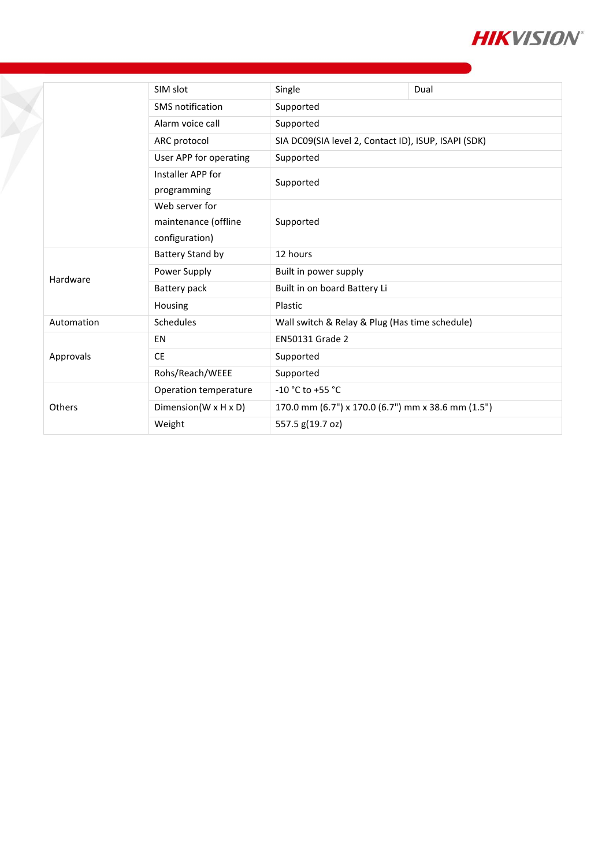

|  |            | SIM slot                                                 | Single                                               | Dual |
|--|------------|----------------------------------------------------------|------------------------------------------------------|------|
|  |            | SMS notification                                         | Supported                                            |      |
|  |            | Alarm voice call                                         | Supported                                            |      |
|  |            | ARC protocol                                             | SIA DC09(SIA level 2, Contact ID), ISUP, ISAPI (SDK) |      |
|  |            | User APP for operating                                   | Supported                                            |      |
|  |            | Installer APP for<br>programming                         | Supported                                            |      |
|  |            | Web server for<br>maintenance (offline<br>configuration) | Supported                                            |      |
|  |            | Battery Stand by                                         | 12 hours                                             |      |
|  | Hardware   | Power Supply                                             | Built in power supply                                |      |
|  |            | Battery pack                                             | Built in on board Battery Li                         |      |
|  |            | Housing                                                  | Plastic                                              |      |
|  | Automation | Schedules                                                | Wall switch & Relay & Plug (Has time schedule)       |      |
|  |            | EN                                                       | <b>EN50131 Grade 2</b>                               |      |
|  | Approvals  | <b>CE</b>                                                | Supported                                            |      |
|  |            | Rohs/Reach/WEEE                                          | Supported                                            |      |
|  |            | Operation temperature                                    | $-10$ °C to +55 °C                                   |      |
|  | Others     | Dimension( $W \times H \times D$ )                       | 170.0 mm (6.7") x 170.0 (6.7") mm x 38.6 mm (1.5")   |      |
|  |            | Weight                                                   | 557.5 g(19.7 oz)                                     |      |